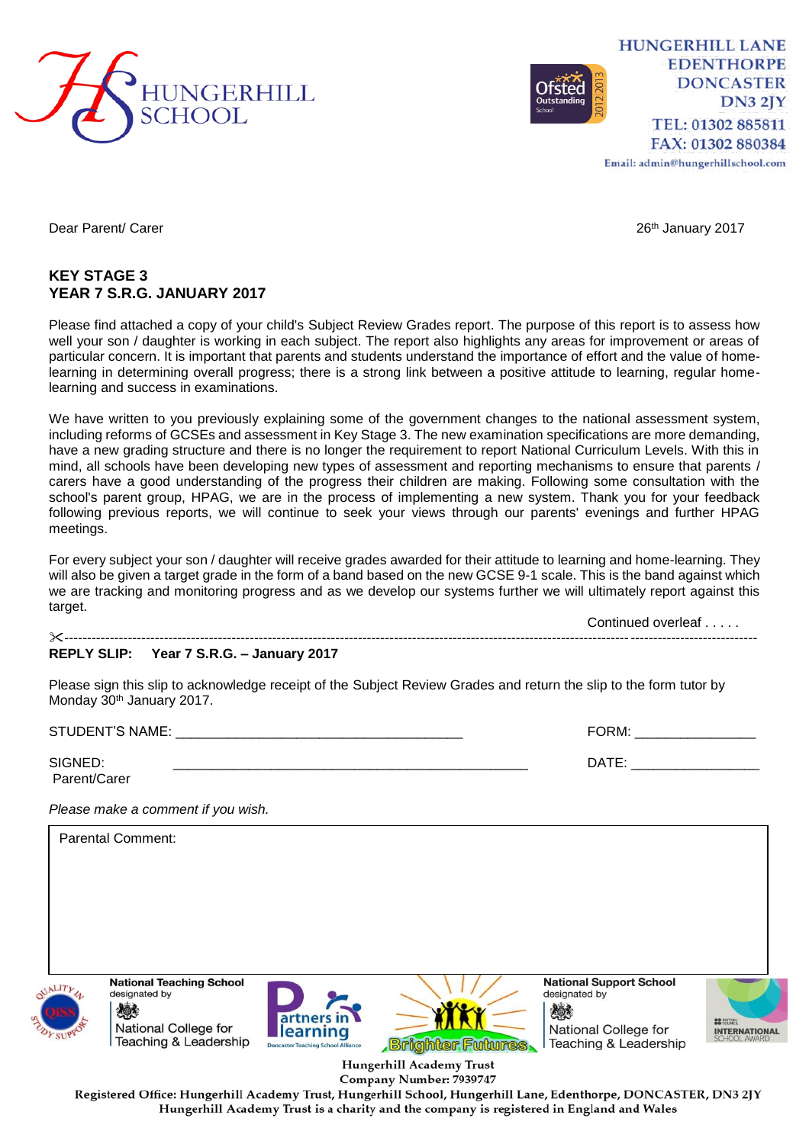

**HUNGERHILL LANE EDENTHORPE DONCASTER DN3 2JY** TEL: 01302 885811 FAX: 01302 880384

Email: admin@hungerhillschool.com

Dear Parent/ Carer 2017 November 2017 2017 2018 12:30 12:30 12:30 12:30 12:30 12:30 12:30 12:30 12:30 12:30 12:30 12:30 12:30 12:30 12:30 12:30 12:30 12:30 12:30 12:30 12:30 12:30 12:30 12:30 12:30 12:30 12:30 12:30 12:30

## **KEY STAGE 3 YEAR 7 S.R.G. JANUARY 2017**

Please find attached a copy of your child's Subject Review Grades report. The purpose of this report is to assess how well your son / daughter is working in each subject. The report also highlights any areas for improvement or areas of particular concern. It is important that parents and students understand the importance of effort and the value of homelearning in determining overall progress; there is a strong link between a positive attitude to learning, regular homelearning and success in examinations.

We have written to you previously explaining some of the government changes to the national assessment system, including reforms of GCSEs and assessment in Key Stage 3. The new examination specifications are more demanding, have a new grading structure and there is no longer the requirement to report National Curriculum Levels. With this in mind, all schools have been developing new types of assessment and reporting mechanisms to ensure that parents / carers have a good understanding of the progress their children are making. Following some consultation with the school's parent group, HPAG, we are in the process of implementing a new system. Thank you for your feedback following previous reports, we will continue to seek your views through our parents' evenings and further HPAG meetings.

For every subject your son / daughter will receive grades awarded for their attitude to learning and home-learning. They will also be given a target grade in the form of a band based on the new GCSE 9-1 scale. This is the band against which we are tracking and monitoring progress and as we develop our systems further we will ultimately report against this target.

Continued overleaf . . . . . ---------------------------------------------------------------------------------------------------------------------------------------------------------

## **REPLY SLIP: Year 7 S.R.G. – January 2017**

Please sign this slip to acknowledge receipt of the Subject Review Grades and return the slip to the form tutor by Monday 30<sup>th</sup> January 2017.

STUDENT'S NAME: \_\_\_\_\_\_\_\_\_\_\_\_\_\_\_\_\_\_\_\_\_\_\_\_\_\_\_\_\_\_\_\_\_\_\_\_\_\_ FORM: \_\_\_\_\_\_\_\_\_\_\_\_\_\_\_\_

| SIGNED:      |  |
|--------------|--|
| Parent/Carer |  |

SIGNED: \_\_\_\_\_\_\_\_\_\_\_\_\_\_\_\_\_\_\_\_\_\_\_\_\_\_\_\_\_\_\_\_\_\_\_\_\_\_\_\_\_\_\_\_\_\_\_ DATE: \_\_\_\_\_\_\_\_\_\_\_\_\_\_\_\_\_

*Please make a comment if you wish.*

Parental Comment:**National Teaching School National Support School** designated by designated by 《 人 燃え **rtners** i National College for National College for learning **INTERNATIONAL** Teaching & Leadership **Brighter Futures** Teaching & Leadership

> Hungerhill Academy Trust Company Number: 7939747

Registered Office: Hungerhill Academy Trust, Hungerhill School, Hungerhill Lane, Edenthorpe, DONCASTER, DN3 2JY Hungerhill Academy Trust is a charity and the company is registered in England and Wales